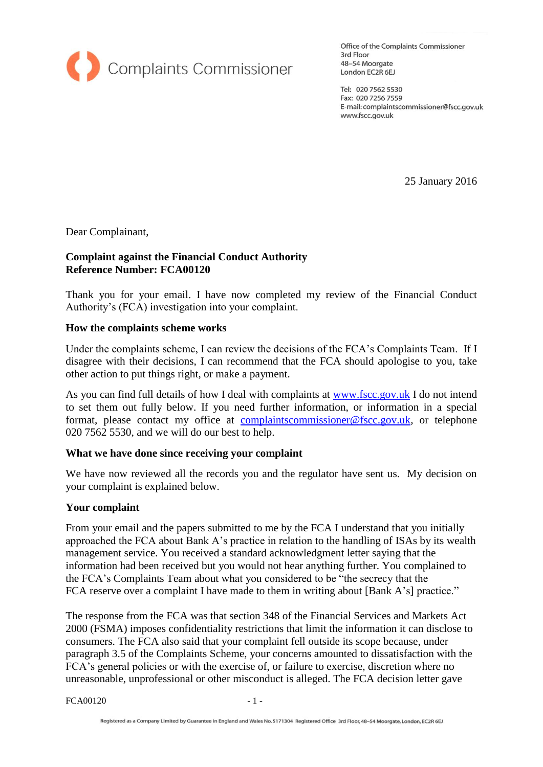

Office of the Complaints Commissioner 3rd Floor 48-54 Moorgate London EC2R 6EJ

Tel: 020 7562 5530 Fax: 020 7256 7559 E-mail: complaintscommissioner@fscc.gov.uk www.fscc.gov.uk

25 January 2016

Dear Complainant,

### **Complaint against the Financial Conduct Authority Reference Number: FCA00120**

Thank you for your email. I have now completed my review of the Financial Conduct Authority's (FCA) investigation into your complaint.

#### **How the complaints scheme works**

Under the complaints scheme, I can review the decisions of the FCA's Complaints Team. If I disagree with their decisions, I can recommend that the FCA should apologise to you, take other action to put things right, or make a payment.

As you can find full details of how I deal with complaints at [www.fscc.gov.uk](http://www.fscc.gov.uk/) I do not intend to set them out fully below. If you need further information, or information in a special format, please contact my office at [complaintscommissioner@fscc.gov.uk,](mailto:complaintscommissioner@fscc.gov.uk) or telephone 020 7562 5530, and we will do our best to help.

#### **What we have done since receiving your complaint**

We have now reviewed all the records you and the regulator have sent us. My decision on your complaint is explained below.

#### **Your complaint**

From your email and the papers submitted to me by the FCA I understand that you initially approached the FCA about Bank A's practice in relation to the handling of ISAs by its wealth management service. You received a standard acknowledgment letter saying that the information had been received but you would not hear anything further. You complained to the FCA's Complaints Team about what you considered to be "the secrecy that the FCA reserve over a complaint I have made to them in writing about [Bank A's] practice."

The response from the FCA was that section 348 of the Financial Services and Markets Act 2000 (FSMA) imposes confidentiality restrictions that limit the information it can disclose to consumers. The FCA also said that your complaint fell outside its scope because, under paragraph 3.5 of the Complaints Scheme, your concerns amounted to dissatisfaction with the FCA's general policies or with the exercise of, or failure to exercise, discretion where no unreasonable, unprofessional or other misconduct is alleged. The FCA decision letter gave

FCA00120 - 1 -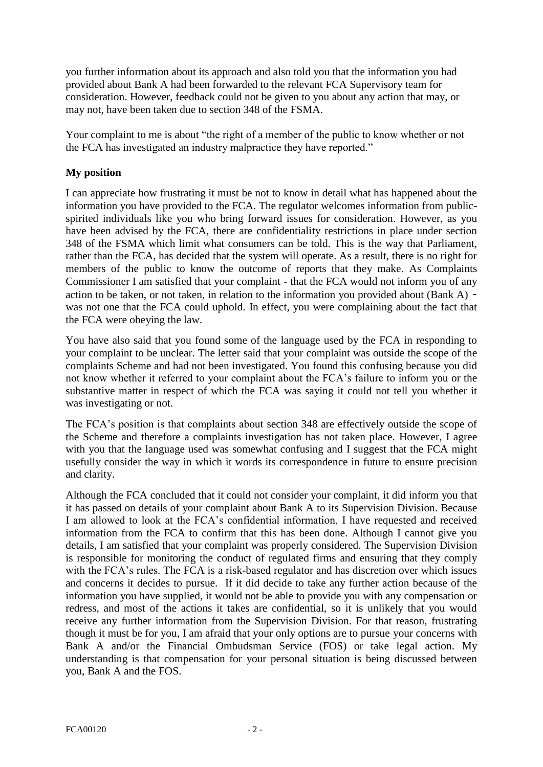you further information about its approach and also told you that the information you had provided about Bank A had been forwarded to the relevant FCA Supervisory team for consideration. However, feedback could not be given to you about any action that may, or may not, have been taken due to section 348 of the FSMA.

Your complaint to me is about "the right of a member of the public to know whether or not the FCA has investigated an industry malpractice they have reported."

# **My position**

I can appreciate how frustrating it must be not to know in detail what has happened about the information you have provided to the FCA. The regulator welcomes information from publicspirited individuals like you who bring forward issues for consideration. However, as you have been advised by the FCA, there are confidentiality restrictions in place under section 348 of the FSMA which limit what consumers can be told. This is the way that Parliament, rather than the FCA, has decided that the system will operate. As a result, there is no right for members of the public to know the outcome of reports that they make. As Complaints Commissioner I am satisfied that your complaint - that the FCA would not inform you of any action to be taken, or not taken, in relation to the information you provided about (Bank A) was not one that the FCA could uphold. In effect, you were complaining about the fact that the FCA were obeying the law.

You have also said that you found some of the language used by the FCA in responding to your complaint to be unclear. The letter said that your complaint was outside the scope of the complaints Scheme and had not been investigated. You found this confusing because you did not know whether it referred to your complaint about the FCA's failure to inform you or the substantive matter in respect of which the FCA was saying it could not tell you whether it was investigating or not.

The FCA's position is that complaints about section 348 are effectively outside the scope of the Scheme and therefore a complaints investigation has not taken place. However, I agree with you that the language used was somewhat confusing and I suggest that the FCA might usefully consider the way in which it words its correspondence in future to ensure precision and clarity.

Although the FCA concluded that it could not consider your complaint, it did inform you that it has passed on details of your complaint about Bank A to its Supervision Division. Because I am allowed to look at the FCA's confidential information, I have requested and received information from the FCA to confirm that this has been done. Although I cannot give you details, I am satisfied that your complaint was properly considered. The Supervision Division is responsible for monitoring the conduct of regulated firms and ensuring that they comply with the FCA's rules. The FCA is a risk-based regulator and has discretion over which issues and concerns it decides to pursue. If it did decide to take any further action because of the information you have supplied, it would not be able to provide you with any compensation or redress, and most of the actions it takes are confidential, so it is unlikely that you would receive any further information from the Supervision Division. For that reason, frustrating though it must be for you, I am afraid that your only options are to pursue your concerns with Bank A and/or the Financial Ombudsman Service (FOS) or take legal action. My understanding is that compensation for your personal situation is being discussed between you, Bank A and the FOS.